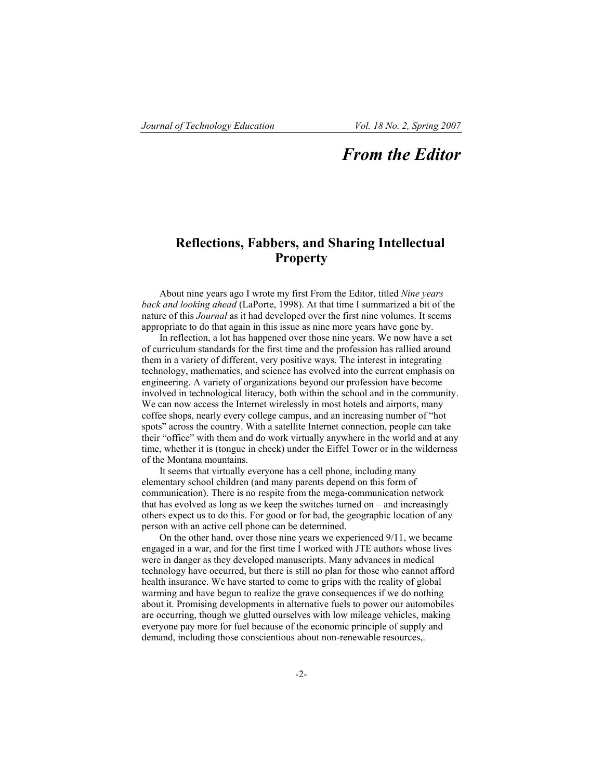## *From the Editor*

## **Reflections, Fabbers, and Sharing Intellectual Property**

About nine years ago I wrote my first From the Editor, titled *Nine years back and looking ahead* (LaPorte, 1998). At that time I summarized a bit of the nature of this *Journal* as it had developed over the first nine volumes. It seems appropriate to do that again in this issue as nine more years have gone by.

In reflection, a lot has happened over those nine years. We now have a set of curriculum standards for the first time and the profession has rallied around them in a variety of different, very positive ways. The interest in integrating technology, mathematics, and science has evolved into the current emphasis on engineering. A variety of organizations beyond our profession have become involved in technological literacy, both within the school and in the community. We can now access the Internet wirelessly in most hotels and airports, many coffee shops, nearly every college campus, and an increasing number of "hot spots" across the country. With a satellite Internet connection, people can take their "office" with them and do work virtually anywhere in the world and at any time, whether it is (tongue in cheek) under the Eiffel Tower or in the wilderness of the Montana mountains.

It seems that virtually everyone has a cell phone, including many elementary school children (and many parents depend on this form of communication). There is no respite from the mega-communication network that has evolved as long as we keep the switches turned on – and increasingly others expect us to do this. For good or for bad, the geographic location of any person with an active cell phone can be determined.

On the other hand, over those nine years we experienced 9/11, we became engaged in a war, and for the first time I worked with JTE authors whose lives were in danger as they developed manuscripts. Many advances in medical technology have occurred, but there is still no plan for those who cannot afford health insurance. We have started to come to grips with the reality of global warming and have begun to realize the grave consequences if we do nothing about it. Promising developments in alternative fuels to power our automobiles are occurring, though we glutted ourselves with low mileage vehicles, making everyone pay more for fuel because of the economic principle of supply and demand, including those conscientious about non-renewable resources,.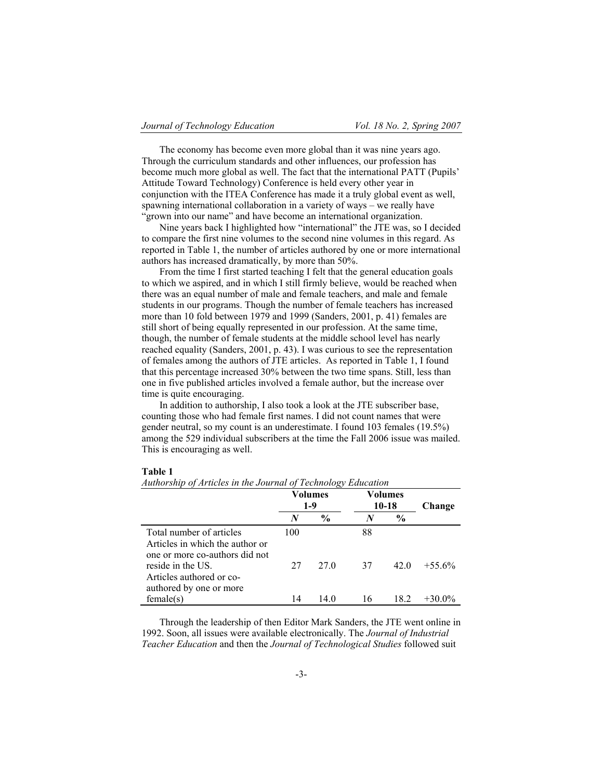The economy has become even more global than it was nine years ago. Through the curriculum standards and other influences, our profession has become much more global as well. The fact that the international PATT (Pupils' Attitude Toward Technology) Conference is held every other year in conjunction with the ITEA Conference has made it a truly global event as well, spawning international collaboration in a variety of ways – we really have "grown into our name" and have become an international organization.

Nine years back I highlighted how "international" the JTE was, so I decided to compare the first nine volumes to the second nine volumes in this regard. As reported in Table 1, the number of articles authored by one or more international authors has increased dramatically, by more than 50%.

From the time I first started teaching I felt that the general education goals to which we aspired, and in which I still firmly believe, would be reached when there was an equal number of male and female teachers, and male and female students in our programs. Though the number of female teachers has increased more than 10 fold between 1979 and 1999 (Sanders, 2001, p. 41) females are still short of being equally represented in our profession. At the same time, though, the number of female students at the middle school level has nearly reached equality (Sanders, 2001, p. 43). I was curious to see the representation of females among the authors of JTE articles. As reported in Table 1, I found that this percentage increased 30% between the two time spans. Still, less than one in five published articles involved a female author, but the increase over time is quite encouraging.

In addition to authorship, I also took a look at the JTE subscriber base, counting those who had female first names. I did not count names that were gender neutral, so my count is an underestimate. I found 103 females (19.5%) among the 529 individual subscribers at the time the Fall 2006 issue was mailed. This is encouraging as well.

## **Table 1**

|                                                                                 | Volumes<br>$1-9$ |               | Volumes<br>10-18 |               | Change    |
|---------------------------------------------------------------------------------|------------------|---------------|------------------|---------------|-----------|
|                                                                                 | N                | $\frac{6}{6}$ | N                | $\frac{6}{9}$ |           |
| Total number of articles<br>Articles in which the author or                     | 100              |               | 88               |               |           |
| one or more co-authors did not<br>reside in the US.<br>Articles authored or co- | 27               | 27 Q          | 37               | 42 Q          | $+55.6\%$ |
| authored by one or more<br>female(s)                                            | 14               | 14 0          | 16               | 18.2          | $+30.0\%$ |

*Authorship of Articles in the Journal of Technology Education*

Through the leadership of then Editor Mark Sanders, the JTE went online in 1992. Soon, all issues were available electronically. The *Journal of Industrial Teacher Education* and then the *Journal of Technological Studies* followed suit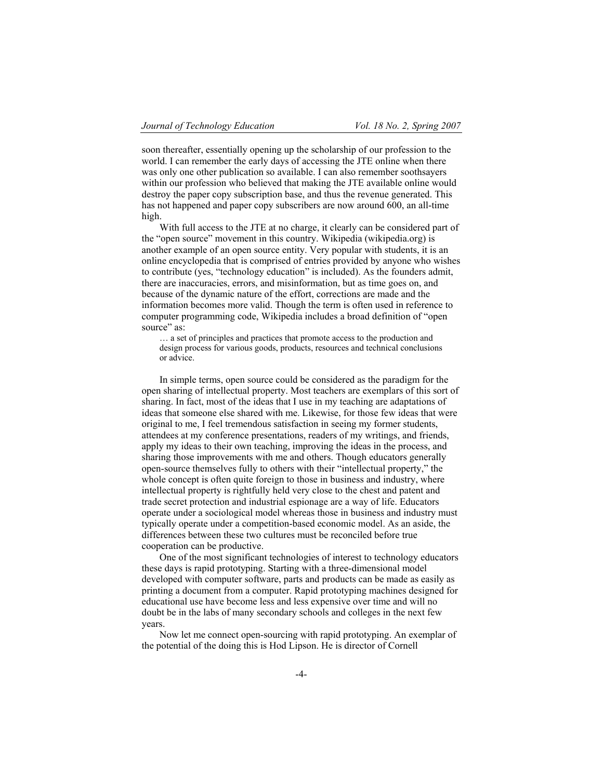soon thereafter, essentially opening up the scholarship of our profession to the world. I can remember the early days of accessing the JTE online when there was only one other publication so available. I can also remember soothsayers within our profession who believed that making the JTE available online would destroy the paper copy subscription base, and thus the revenue generated. This has not happened and paper copy subscribers are now around 600, an all-time high.

With full access to the JTE at no charge, it clearly can be considered part of the "open source" movement in this country. Wikipedia (wikipedia.org) is another example of an open source entity. Very popular with students, it is an online encyclopedia that is comprised of entries provided by anyone who wishes to contribute (yes, "technology education" is included). As the founders admit, there are inaccuracies, errors, and misinformation, but as time goes on, and because of the dynamic nature of the effort, corrections are made and the information becomes more valid. Though the term is often used in reference to computer programming code, Wikipedia includes a broad definition of "open source" as:

… a set of principles and practices that promote access to the production and design process for various goods, products, resources and technical conclusions or advice.

In simple terms, open source could be considered as the paradigm for the open sharing of intellectual property. Most teachers are exemplars of this sort of sharing. In fact, most of the ideas that I use in my teaching are adaptations of ideas that someone else shared with me. Likewise, for those few ideas that were original to me, I feel tremendous satisfaction in seeing my former students, attendees at my conference presentations, readers of my writings, and friends, apply my ideas to their own teaching, improving the ideas in the process, and sharing those improvements with me and others. Though educators generally open-source themselves fully to others with their "intellectual property," the whole concept is often quite foreign to those in business and industry, where intellectual property is rightfully held very close to the chest and patent and trade secret protection and industrial espionage are a way of life. Educators operate under a sociological model whereas those in business and industry must typically operate under a competition-based economic model. As an aside, the differences between these two cultures must be reconciled before true cooperation can be productive.

One of the most significant technologies of interest to technology educators these days is rapid prototyping. Starting with a three-dimensional model developed with computer software, parts and products can be made as easily as printing a document from a computer. Rapid prototyping machines designed for educational use have become less and less expensive over time and will no doubt be in the labs of many secondary schools and colleges in the next few years.

Now let me connect open-sourcing with rapid prototyping. An exemplar of the potential of the doing this is Hod Lipson. He is director of Cornell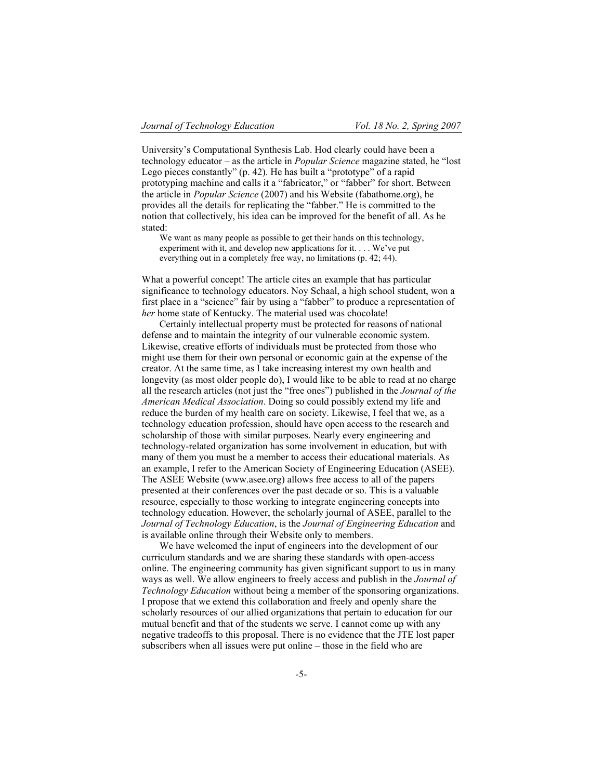University's Computational Synthesis Lab. Hod clearly could have been a technology educator – as the article in *Popular Science* magazine stated, he "lost Lego pieces constantly" (p. 42). He has built a "prototype" of a rapid prototyping machine and calls it a "fabricator," or "fabber" for short. Between the article in *Popular Science* (2007) and his Website (fabathome.org), he provides all the details for replicating the "fabber." He is committed to the notion that collectively, his idea can be improved for the benefit of all. As he stated:

We want as many people as possible to get their hands on this technology, experiment with it, and develop new applications for it. . . . We've put everything out in a completely free way, no limitations (p. 42; 44).

What a powerful concept! The article cites an example that has particular significance to technology educators. Noy Schaal, a high school student, won a first place in a "science" fair by using a "fabber" to produce a representation of *her* home state of Kentucky. The material used was chocolate!

Certainly intellectual property must be protected for reasons of national defense and to maintain the integrity of our vulnerable economic system. Likewise, creative efforts of individuals must be protected from those who might use them for their own personal or economic gain at the expense of the creator. At the same time, as I take increasing interest my own health and longevity (as most older people do), I would like to be able to read at no charge all the research articles (not just the "free ones") published in the *Journal of the American Medical Association*. Doing so could possibly extend my life and reduce the burden of my health care on society. Likewise, I feel that we, as a technology education profession, should have open access to the research and scholarship of those with similar purposes. Nearly every engineering and technology-related organization has some involvement in education, but with many of them you must be a member to access their educational materials. As an example, I refer to the American Society of Engineering Education (ASEE). The ASEE Website (www.asee.org) allows free access to all of the papers presented at their conferences over the past decade or so. This is a valuable resource, especially to those working to integrate engineering concepts into technology education. However, the scholarly journal of ASEE, parallel to the *Journal of Technology Education*, is the *Journal of Engineering Education* and is available online through their Website only to members.

We have welcomed the input of engineers into the development of our curriculum standards and we are sharing these standards with open-access online. The engineering community has given significant support to us in many ways as well. We allow engineers to freely access and publish in the *Journal of Technology Education* without being a member of the sponsoring organizations. I propose that we extend this collaboration and freely and openly share the scholarly resources of our allied organizations that pertain to education for our mutual benefit and that of the students we serve. I cannot come up with any negative tradeoffs to this proposal. There is no evidence that the JTE lost paper subscribers when all issues were put online – those in the field who are